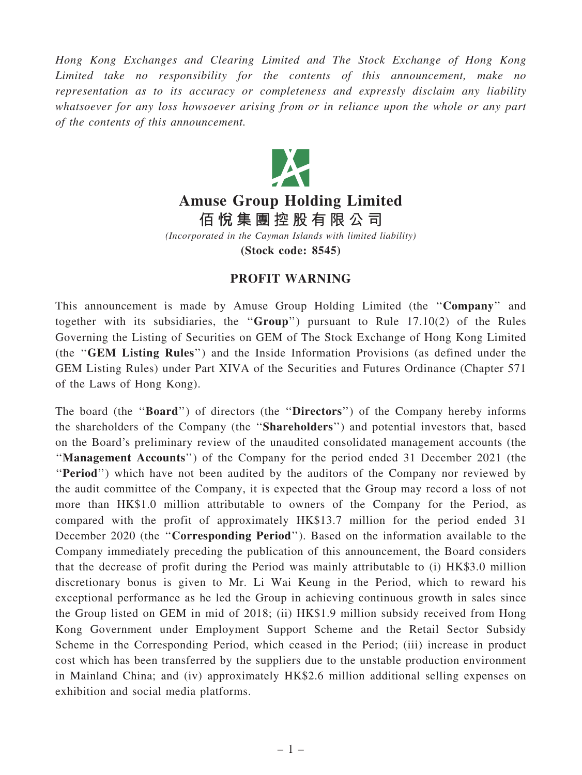Hong Kong Exchanges and Clearing Limited and The Stock Exchange of Hong Kong Limited take no responsibility for the contents of this announcement, make no representation as to its accuracy or completeness and expressly disclaim any liability whatsoever for any loss howsoever arising from or in reliance upon the whole or any part of the contents of this announcement.



## Amuse Group Holding Limited

佰 悅 集 團 控 股 有 限 公 司

(Incorporated in the Cayman Islands with limited liability)

(Stock code: 8545)

## PROFIT WARNING

This announcement is made by Amuse Group Holding Limited (the ''Company'' and together with its subsidiaries, the ''Group'') pursuant to Rule 17.10(2) of the Rules Governing the Listing of Securities on GEM of The Stock Exchange of Hong Kong Limited (the ''GEM Listing Rules'') and the Inside Information Provisions (as defined under the GEM Listing Rules) under Part XIVA of the Securities and Futures Ordinance (Chapter 571 of the Laws of Hong Kong).

The board (the "**Board**") of directors (the "**Directors**") of the Company hereby informs the shareholders of the Company (the ''Shareholders'') and potential investors that, based on the Board's preliminary review of the unaudited consolidated management accounts (the ''Management Accounts'') of the Company for the period ended 31 December 2021 (the ''Period'') which have not been audited by the auditors of the Company nor reviewed by the audit committee of the Company, it is expected that the Group may record a loss of not more than HK\$1.0 million attributable to owners of the Company for the Period, as compared with the profit of approximately HK\$13.7 million for the period ended 31 December 2020 (the "Corresponding Period"). Based on the information available to the Company immediately preceding the publication of this announcement, the Board considers that the decrease of profit during the Period was mainly attributable to (i) HK\$3.0 million discretionary bonus is given to Mr. Li Wai Keung in the Period, which to reward his exceptional performance as he led the Group in achieving continuous growth in sales since the Group listed on GEM in mid of 2018; (ii) HK\$1.9 million subsidy received from Hong Kong Government under Employment Support Scheme and the Retail Sector Subsidy Scheme in the Corresponding Period, which ceased in the Period; (iii) increase in product cost which has been transferred by the suppliers due to the unstable production environment in Mainland China; and (iv) approximately HK\$2.6 million additional selling expenses on exhibition and social media platforms.